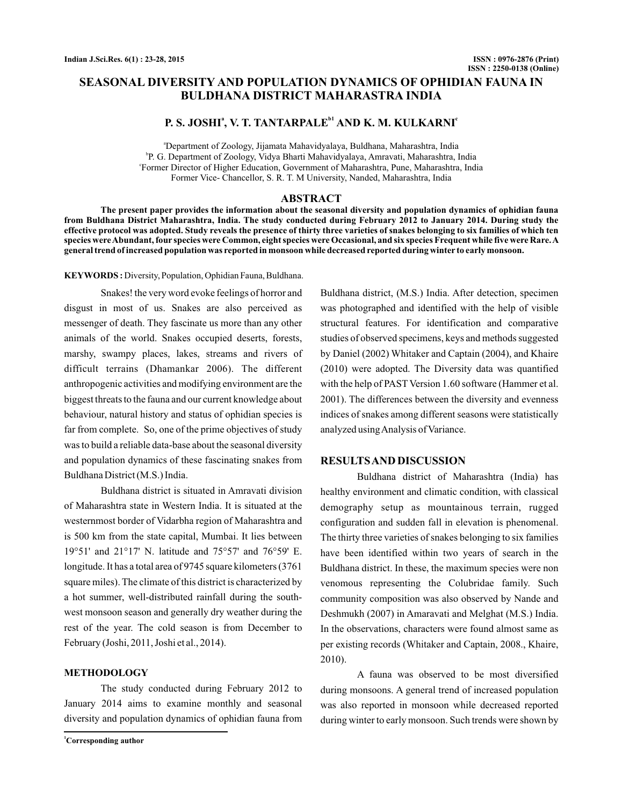# **SEASONAL DIVERSITY AND POPULATION DYNAMICS OF OPHIDIAN FAUNA IN BULDHANA DISTRICT MAHARASTRA INDIA**

# **P. S. JOSHI<sup>ª</sup>, V. T. TANTARPALE<sup>b1</sup> AND K. M. KULKARNI<sup>°</sup>**

a Department of Zoology, Jijamata Mahavidyalaya, Buldhana, Maharashtra, India b P. G. Department of Zoology, Vidya Bharti Mahavidyalaya, Amravati, Maharashtra, India c Former Director of Higher Education, Government of Maharashtra, Pune, Maharashtra, India Former Vice- Chancellor, S. R. T. M University, Nanded, Maharashtra, India

#### **ABSTRACT**

**The present paper provides the information about the seasonal diversity and population dynamics of ophidian fauna from Buldhana District Maharashtra, India. The study conducted during February 2012 to January 2014. During study the effective protocol was adopted. Study reveals the presence of thirty three varieties of snakes belonging to six families of which ten species wereAbundant, four species were Common, eight species were Occasional, and six species Frequent while five were Rare.A general trend of increased population was reported in monsoon while decreased reported during winter to early monsoon.**

KEYWORDS: Diversity, Population, Ophidian Fauna, Buldhana.

Snakes! the very word evoke feelings of horror and disgust in most of us. Snakes are also perceived as messenger of death. They fascinate us more than any other animals of the world. Snakes occupied deserts, forests, marshy, swampy places, lakes, streams and rivers of difficult terrains (Dhamankar 2006). The different anthropogenic activities and modifying environment are the biggest threats to the fauna and our current knowledge about behaviour, natural history and status of ophidian species is far from complete. So, one of the prime objectives of study was to build a reliable data-base about the seasonal diversity and population dynamics of these fascinating snakes from Buldhana District (M.S.) India.

Buldhana district is situated in Amravati division of Maharashtra state in Western India. It is situated at the westernmost border of Vidarbha region of Maharashtra and is 500 km from the state capital, Mumbai. It lies between 19°51' and 21°17' N. latitude and 75°57' and 76°59' E. longitude. It has a total area of 9745 square kilometers (3761 square miles). The climate of this district is characterized by a hot summer, well-distributed rainfall during the southwest monsoon season and generally dry weather during the rest of the year. The cold season is from December to February (Joshi, 2011, Joshi et al., 2014).

#### **METHODOLOGY**

The study conducted during February 2012 to January 2014 aims to examine monthly and seasonal diversity and population dynamics of ophidian fauna from Buldhana district, (M.S.) India. After detection, specimen was photographed and identified with the help of visible structural features. For identification and comparative studies of observed specimens, keys and methods suggested by Daniel (2002) Whitaker and Captain (2004), and Khaire (2010) were adopted. The Diversity data was quantified with the help of PAST Version 1.60 software (Hammer et al. 2001). The differences between the diversity and evenness indices of snakes among different seasons were statistically analyzed usingAnalysis of Variance.

#### **RESULTSAND DISCUSSION**

Buldhana district of Maharashtra (India) has healthy environment and climatic condition, with classical demography setup as mountainous terrain, rugged configuration and sudden fall in elevation is phenomenal. The thirty three varieties of snakes belonging to six families have been identified within two years of search in the Buldhana district. In these, the maximum species were non venomous representing the Colubridae family. Such community composition was also observed by Nande and Deshmukh (2007) in Amaravati and Melghat (M.S.) India. In the observations, characters were found almost same as per existing records (Whitaker and Captain, 2008., Khaire, 2010).

A fauna was observed to be most diversified during monsoons. A general trend of increased population was also reported in monsoon while decreased reported during winter to early monsoon. Such trends were shown by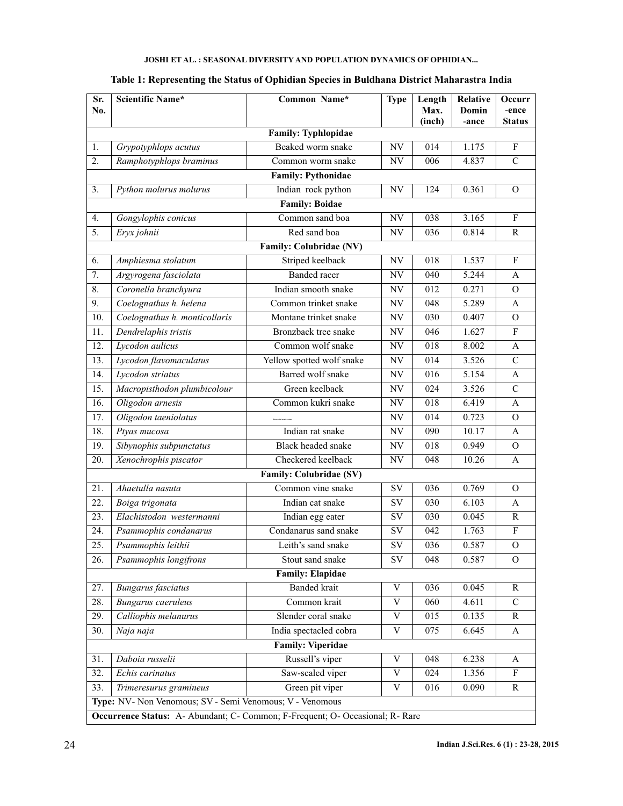| Sr.<br>No.               | <b>Scientific Name*</b>                                                       | Common Name*                   | <b>Type</b>               | Length<br>Max.<br>(inch) | <b>Relative</b><br>Domin<br>-ance | Occurr<br>-ence<br><b>Status</b> |  |  |  |  |  |
|--------------------------|-------------------------------------------------------------------------------|--------------------------------|---------------------------|--------------------------|-----------------------------------|----------------------------------|--|--|--|--|--|
| Family: Typhlopidae      |                                                                               |                                |                           |                          |                                   |                                  |  |  |  |  |  |
| 1.                       | Grypotyphlops acutus                                                          | Beaked worm snake              | NV                        | 014                      | 1.175                             | $\boldsymbol{\mathrm{F}}$        |  |  |  |  |  |
| 2.                       | Ramphotyphlops braminus                                                       | Common worm snake              | NV                        | 006                      | 4.837                             | $\mathcal{C}$                    |  |  |  |  |  |
|                          | <b>Family: Pythonidae</b>                                                     |                                |                           |                          |                                   |                                  |  |  |  |  |  |
| 3.                       | Python molurus molurus                                                        | Indian rock python             | NV                        | 124                      | 0.361                             | O                                |  |  |  |  |  |
|                          | <b>Family: Boidae</b>                                                         |                                |                           |                          |                                   |                                  |  |  |  |  |  |
| 4.                       | Gongylophis conicus                                                           | Common sand boa                | NV                        | 038                      | 3.165                             | ${\bf F}$                        |  |  |  |  |  |
| 5.                       | Eryx johnii                                                                   | Red sand boa                   | NV                        | 036                      | 0.814                             | R                                |  |  |  |  |  |
|                          |                                                                               | <b>Family: Colubridae (NV)</b> |                           |                          |                                   |                                  |  |  |  |  |  |
| 6.                       | Amphiesma stolatum                                                            | Striped keelback               | NV                        | 018                      | 1.537                             | ${\bf F}$                        |  |  |  |  |  |
| 7.                       | Argyrogena fasciolata                                                         | <b>Banded</b> racer            | NV                        | 040                      | 5.244                             | A                                |  |  |  |  |  |
| 8.                       | Coronella branchyura                                                          | Indian smooth snake            | NV                        | 012                      | 0.271                             | $\mathcal{O}$                    |  |  |  |  |  |
| 9.                       | Coelognathus h. helena                                                        | Common trinket snake           | NV                        | $\overline{048}$         | 5.289                             | A                                |  |  |  |  |  |
| 10.                      | Coelognathus h. monticollaris                                                 | Montane trinket snake          | NV                        | 030                      | 0.407                             | $\Omega$                         |  |  |  |  |  |
| 11.                      | Dendrelaphis tristis                                                          | Bronzback tree snake           | NV                        | 046                      | 1.627                             | $\boldsymbol{\mathrm{F}}$        |  |  |  |  |  |
| 12.                      | Lycodon aulicus                                                               | Common wolf snake              | NV                        | 018                      | 8.002                             | A                                |  |  |  |  |  |
| 13.                      | Lycodon flavomaculatus                                                        | Yellow spotted wolf snake      | NV                        | 014                      | 3.526                             | $\overline{C}$                   |  |  |  |  |  |
| 14.                      | Lycodon striatus                                                              | Barred wolf snake              | $\ensuremath{\text{NV}}$  | 016                      | 5.154                             | A                                |  |  |  |  |  |
| 15.                      | Macropisthodon plumbicolour                                                   | Green keelback                 | NV                        | $\overline{024}$         | 3.526                             | $\overline{C}$                   |  |  |  |  |  |
| 16.                      | Oligodon arnesis                                                              | Common kukri snake             | NV                        | 018                      | 6.419                             | A                                |  |  |  |  |  |
| 17.                      | Oligodon taeniolatus                                                          |                                | NV                        | 014                      | 0.723                             | $\mathbf{O}$                     |  |  |  |  |  |
| 18.                      | Ptyas mucosa                                                                  | Indian rat snake               | NV                        | 090                      | 10.17                             | A                                |  |  |  |  |  |
| 19.                      | Sibynophis subpunctatus                                                       | Black headed snake             | NV                        | 018                      | 0.949                             | $\mathcal{O}$                    |  |  |  |  |  |
| 20.                      | Xenochrophis piscator                                                         | Checkered keelback             | NV                        | 048                      | 10.26                             | A                                |  |  |  |  |  |
|                          |                                                                               | <b>Family: Colubridae (SV)</b> |                           |                          |                                   |                                  |  |  |  |  |  |
| 21.                      | Ahaetulla nasuta                                                              | Common vine snake              | SV                        | 036                      | 0.769                             | $\Omega$                         |  |  |  |  |  |
| 22.                      | Boiga trigonata                                                               | Indian cat snake               | SV                        | 030                      | 6.103                             | А                                |  |  |  |  |  |
| 23.                      | Elachistodon westermanni                                                      | Indian egg eater               | SV                        | 030                      | 0.045                             | $\mathbb{R}$                     |  |  |  |  |  |
| 24.                      | Psammophis condanarus                                                         | Condanarus sand snake          | SV                        | 042                      | 1.763                             | $\overline{F}$                   |  |  |  |  |  |
| 25.                      | Psammophis leithii                                                            | Leith's sand snake             | <b>SV</b>                 | 036                      | 0.587                             | $\mathbf O$                      |  |  |  |  |  |
| 26.                      | Psammophis longifrons                                                         | Stout sand snake               | SV                        | 048                      | 0.587                             | $\mathcal{O}$                    |  |  |  |  |  |
|                          |                                                                               | <b>Family: Elapidae</b>        |                           |                          |                                   |                                  |  |  |  |  |  |
| 27.                      | <b>Bungarus</b> fasciatus                                                     | <b>Banded</b> krait            | V                         | 036                      | 0.045                             | R                                |  |  |  |  |  |
| 28.                      | Bungarus caeruleus                                                            | Common krait                   | $\mathbf V$               | 060                      | 4.611                             | $\mathbf C$                      |  |  |  |  |  |
| 29.                      | Calliophis melanurus                                                          | Slender coral snake            | $\ensuremath{\mathbf{V}}$ | 015                      | 0.135                             | $\mathbf R$                      |  |  |  |  |  |
| 30.                      | Naja naja                                                                     | India spectacled cobra         | V                         | 075                      | 6.645                             | A                                |  |  |  |  |  |
| <b>Family: Viperidae</b> |                                                                               |                                |                           |                          |                                   |                                  |  |  |  |  |  |
| 31.                      | Daboia russelii                                                               | Russell's viper                | V                         | 048                      | 6.238                             | A                                |  |  |  |  |  |
| 32.                      | Echis carinatus                                                               | Saw-scaled viper               | $\ensuremath{\mathbf{V}}$ | 024                      | 1.356                             | F                                |  |  |  |  |  |
| 33.                      | Trimeresurus gramineus                                                        | Green pit viper                | V                         | 016                      | 0.090                             | $\mathbb{R}$                     |  |  |  |  |  |
|                          | Type: NV- Non Venomous; SV - Semi Venomous; V - Venomous                      |                                |                           |                          |                                   |                                  |  |  |  |  |  |
|                          | Occurrence Status: A- Abundant; C- Common; F-Frequent; O- Occasional; R- Rare |                                |                           |                          |                                   |                                  |  |  |  |  |  |

# **Table 1: Representing the Status of Ophidian Species in Buldhana District Maharastra India**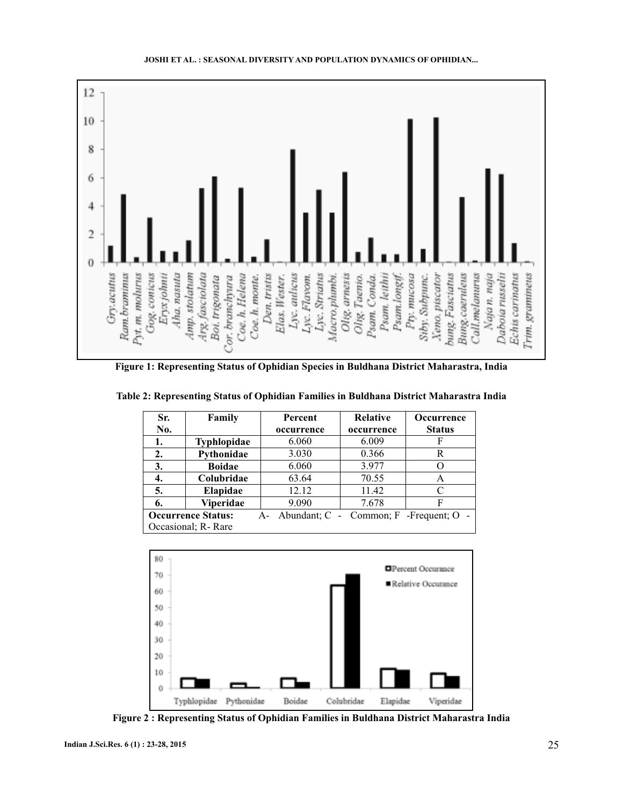

**JOSHI ET AL. : SEASONAL DIVERSITY AND POPULATION DYNAMICS OF OPHIDIAN...**

**Figure 1: Representing Status of Ophidian Species in Buldhana District Maharastra, India**

| Sr.<br>No.                                                            | Family             | <b>Percent</b><br>occurrence | <b>Relative</b><br>occurrence | <b>Occurrence</b><br><b>Status</b> |  |  |  |
|-----------------------------------------------------------------------|--------------------|------------------------------|-------------------------------|------------------------------------|--|--|--|
| 1.                                                                    | <b>Typhlopidae</b> | 6.060                        | 6.009                         |                                    |  |  |  |
| $\overline{2}$ .                                                      | Pythonidae         | 3.030                        | 0.366                         | R                                  |  |  |  |
| 3.                                                                    | <b>Boidae</b>      | 6.060                        | 3.977                         |                                    |  |  |  |
| 4.                                                                    | Colubridae         | 63.64                        | 70.55                         | А                                  |  |  |  |
| 5.                                                                    | Elapidae           | 12.12                        | 11.42                         |                                    |  |  |  |
| 6.                                                                    | <b>Viperidae</b>   | 9.090                        | 7.678                         | F                                  |  |  |  |
| <b>Occurrence Status:</b><br>A- Abundant; C - Common; F - Frequent; O |                    |                              |                               |                                    |  |  |  |
| Occasional; R-Rare                                                    |                    |                              |                               |                                    |  |  |  |

**Table 2: Representing Status of Ophidian Families in Buldhana District Maharastra India**



**Figure 2 : Representing Status of Ophidian Families in Buldhana District Maharastra India**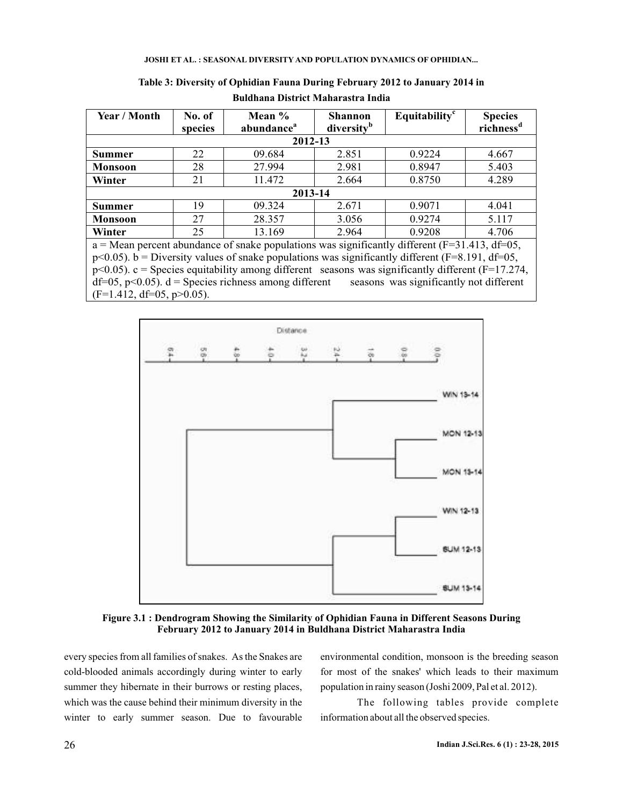| Year / Month                                                                                        | No. of<br>species | Mean $%$<br>abundance <sup>a</sup> | <b>Shannon</b><br>diversity <sup>b</sup> | Equitability <sup>c</sup> | <b>Species</b><br>richness <sup>d</sup> |  |  |  |  |  |
|-----------------------------------------------------------------------------------------------------|-------------------|------------------------------------|------------------------------------------|---------------------------|-----------------------------------------|--|--|--|--|--|
| 2012-13                                                                                             |                   |                                    |                                          |                           |                                         |  |  |  |  |  |
| <b>Summer</b>                                                                                       | 22                | 09.684                             | 2.851                                    | 0.9224                    | 4.667                                   |  |  |  |  |  |
| <b>Monsoon</b>                                                                                      | 28                | 27.994                             | 2.981                                    | 0.8947                    | 5.403                                   |  |  |  |  |  |
| Winter                                                                                              | 21                | 11.472                             | 2.664                                    | 0.8750                    | 4.289                                   |  |  |  |  |  |
| 2013-14                                                                                             |                   |                                    |                                          |                           |                                         |  |  |  |  |  |
| <b>Summer</b>                                                                                       | 19                | 09.324                             | 2.671                                    | 0.9071                    | 4.041                                   |  |  |  |  |  |
| <b>Monsoon</b>                                                                                      | 27                | 28.357                             | 3.056                                    | 0.9274                    | 5.117                                   |  |  |  |  |  |
| Winter                                                                                              | 25                | 13.169                             | 2.964                                    | 0.9208                    | 4.706                                   |  |  |  |  |  |
| $a$ = Mean percent abundance of snake populations was significantly different (F=31.413, df=05,     |                   |                                    |                                          |                           |                                         |  |  |  |  |  |
| $p<0.05$ ). b = Diversity values of snake populations was significantly different (F=8.191, df=05,  |                   |                                    |                                          |                           |                                         |  |  |  |  |  |
| $p<0.05$ ). c = Species equitability among different seasons was significantly different (F=17.274, |                   |                                    |                                          |                           |                                         |  |  |  |  |  |
| $df=05$ , p<0.05). $d =$ Species richness among different seasons was significantly not different   |                   |                                    |                                          |                           |                                         |  |  |  |  |  |
| $(F=1.412, df=05, p>0.05)$ .                                                                        |                   |                                    |                                          |                           |                                         |  |  |  |  |  |

**Table 3: Diversity of Ophidian Fauna During February 2012 to January 2014 in Buldhana District Maharastra India**



**Figure 3.1 : Dendrogram Showing the Similarity of Ophidian Fauna in Different Seasons During February 2012 to January 2014 in Buldhana District Maharastra India**

every species from all families of snakes. As the Snakes are cold-blooded animals accordingly during winter to early summer they hibernate in their burrows or resting places, which was the cause behind their minimum diversity in the winter to early summer season. Due to favourable

environmental condition, monsoon is the breeding season for most of the snakes' which leads to their maximum population in rainy season (Joshi 2009, Pal et al. 2012).

The following tables provide complete information about all the observed species.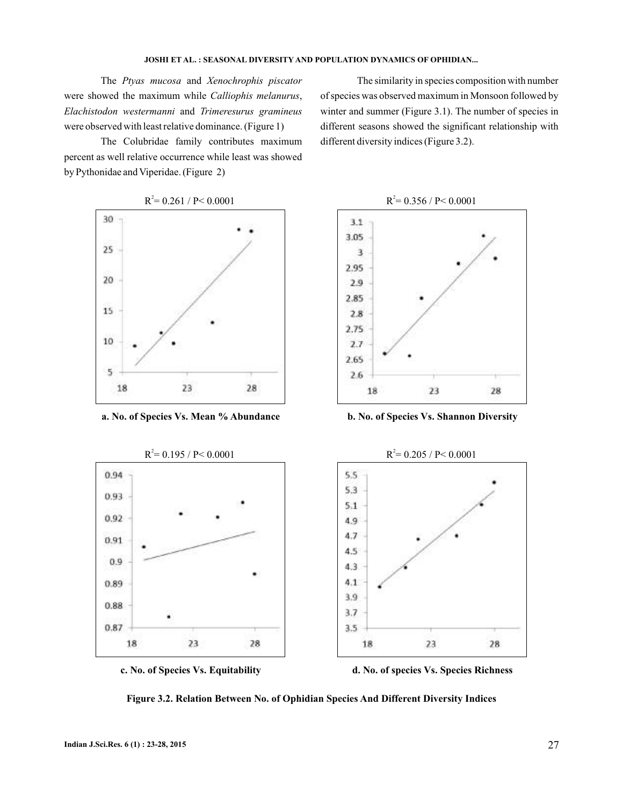The Ptyas mucosa and Xenochrophis piscator were showed the maximum while Calliophis melanurus, Elachistodon westermanni and Trimeresurus gramineus were observed with least relative dominance. (Figure 1)

The Colubridae family contributes maximum percent as well relative occurrence while least was showed by Pythonidae and Viperidae. (Figure 2)

The similarity in species composition with number of species was observed maximum in Monsoon followed by winter and summer (Figure 3.1). The number of species in different seasons showed the significant relationship with different diversity indices (Figure 3.2).



**Figure 3.2. Relation Between No. of Ophidian Species And Different Diversity Indices**